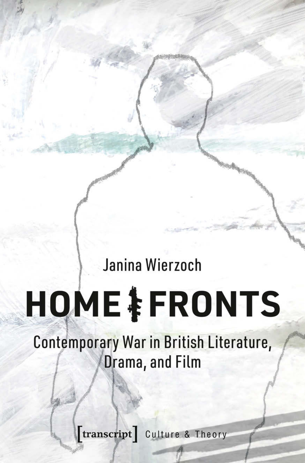# Janina Wierzoch

# **HOME & FRONTS**

Contemporary War in British Literature, Drama, and Film

**[transcript]** Culture & Theory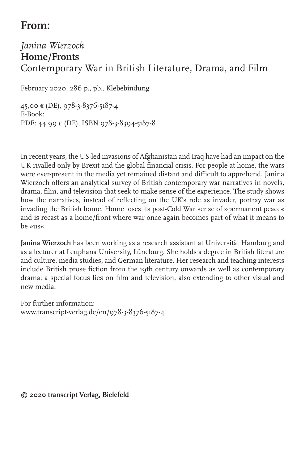# **From:**

#### *Janina Wierzoch* **Home/Fronts** Contemporary War in British Literature, Drama, and Film

February 2020, 286 p., pb., Klebebindung

45,00 € (DE), 978-3-8376-5187-4 E-Book: PDF: 44,99 € (DE), ISBN 978-3-8394-5187-8

In recent years, the US-led invasions of Afghanistan and Iraq have had an impact on the UK rivalled only by Brexit and the global financial crisis. For people at home, the wars were ever-present in the media yet remained distant and difficult to apprehend. Janina Wierzoch offers an analytical survey of British contemporary war narratives in novels, drama, film, and television that seek to make sense of the experience. The study shows how the narratives, instead of reflecting on the UK's role as invader, portray war as invading the British home. Home loses its post-Cold War sense of »permanent peace« and is recast as a home/front where war once again becomes part of what it means to  $he^{311}$ 

**Janina Wierzoch** has been working as a research assistant at Universität Hamburg and as a lecturer at Leuphana University, Lüneburg. She holds a degree in British literature and culture, media studies, and German literature. Her research and teaching interests include British prose fiction from the 19th century onwards as well as contemporary drama; a special focus lies on film and television, also extending to other visual and new media.

For further information: www.transcript-verlag.de/en/978-3-8376-5187-4

**© 2020 transcript Verlag, Bielefeld**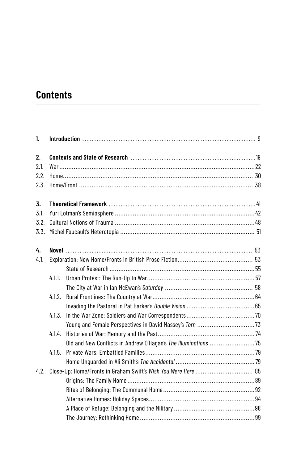# **Contents**

| 1.   |        |                                                                |  |  |
|------|--------|----------------------------------------------------------------|--|--|
| 2.   |        |                                                                |  |  |
| 2.1. |        |                                                                |  |  |
| 2.2. |        |                                                                |  |  |
| 2.3. |        |                                                                |  |  |
| 3.   |        |                                                                |  |  |
| 3.1. |        |                                                                |  |  |
| 3.2. |        |                                                                |  |  |
| 3.3. |        |                                                                |  |  |
| 4.   |        |                                                                |  |  |
| 4.1. |        |                                                                |  |  |
|      |        |                                                                |  |  |
|      | 4.1.1. |                                                                |  |  |
|      |        |                                                                |  |  |
|      | 4.1.2. |                                                                |  |  |
|      |        |                                                                |  |  |
|      | 4.1.3. |                                                                |  |  |
|      |        | Young and Female Perspectives in David Massey's Torn 73        |  |  |
|      | 4.1.4. |                                                                |  |  |
|      |        | Old and New Conflicts in Andrew O'Hagan's The Illuminations 75 |  |  |
|      | 4.1.5. |                                                                |  |  |
|      |        |                                                                |  |  |
| 4.2. |        |                                                                |  |  |
|      |        |                                                                |  |  |
|      |        |                                                                |  |  |
|      |        |                                                                |  |  |
|      |        |                                                                |  |  |
|      |        |                                                                |  |  |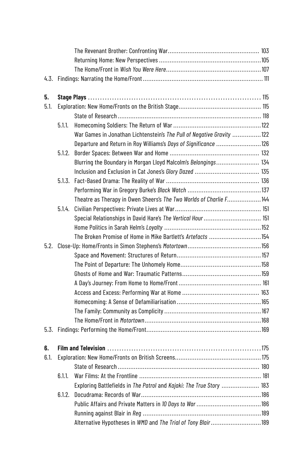| 5.   |        |                                                                       |  |
|------|--------|-----------------------------------------------------------------------|--|
| 5.1. |        |                                                                       |  |
|      |        |                                                                       |  |
|      | 5.1.1. |                                                                       |  |
|      |        | War Games in Jonathan Lichtenstein's The Pull of Negative Gravity 122 |  |
|      |        | Departure and Return in Roy Williams's Days of Significance 126       |  |
|      | 5.1.2. |                                                                       |  |
|      |        | Blurring the Boundary in Morgan Lloyd Malcolm's Belongings 134        |  |
|      |        |                                                                       |  |
|      |        |                                                                       |  |
|      |        |                                                                       |  |
|      |        | Theatre as Therapy in Owen Sheers's The Two Worlds of Charlie F144    |  |
|      | 5.1.4. |                                                                       |  |
|      |        | Special Relationships in David Hare's The Vertical Hour  151          |  |
|      |        |                                                                       |  |
|      |        | The Broken Promise of Home in Mike Bartlett's Artefacts 154           |  |
|      |        |                                                                       |  |
|      |        |                                                                       |  |
|      |        |                                                                       |  |
|      |        |                                                                       |  |
|      |        |                                                                       |  |
|      |        |                                                                       |  |
|      |        |                                                                       |  |
|      |        |                                                                       |  |
|      |        |                                                                       |  |
|      |        |                                                                       |  |
| 6.   |        |                                                                       |  |
| 6.1. |        |                                                                       |  |
|      |        |                                                                       |  |
|      | 6.1.1. |                                                                       |  |
|      |        | Exploring Battlefields in The Patrol and Kajaki: The True Story  183  |  |
|      | 6.1.2. |                                                                       |  |
|      |        |                                                                       |  |
|      |        |                                                                       |  |
|      |        | Alternative Hypotheses in WMD and The Trial of Tony Blair 189         |  |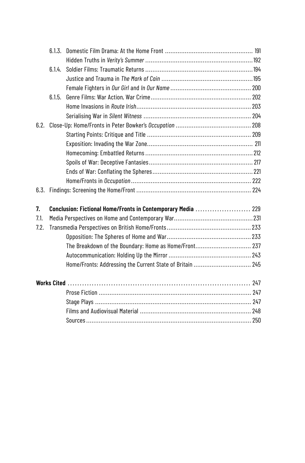|      | 6.1.4. |                                                              |  |
|------|--------|--------------------------------------------------------------|--|
|      |        |                                                              |  |
|      |        |                                                              |  |
|      | 6.1.5. |                                                              |  |
|      |        |                                                              |  |
|      |        |                                                              |  |
| 6.2. |        |                                                              |  |
|      |        |                                                              |  |
|      |        |                                                              |  |
|      |        |                                                              |  |
|      |        |                                                              |  |
|      |        |                                                              |  |
|      |        |                                                              |  |
|      |        |                                                              |  |
| 7.   |        | Conclusion: Fictional Home/Fronts in Contemporary Media  229 |  |
| 7.1. |        |                                                              |  |
| 7.2. |        |                                                              |  |
|      |        |                                                              |  |
|      |        | The Breakdown of the Boundary: Home as Home/Front 237        |  |
|      |        |                                                              |  |
|      |        | Home/Fronts: Addressing the Current State of Britain  245    |  |
|      |        |                                                              |  |
|      |        |                                                              |  |
|      |        |                                                              |  |
|      |        |                                                              |  |
|      |        |                                                              |  |
|      |        |                                                              |  |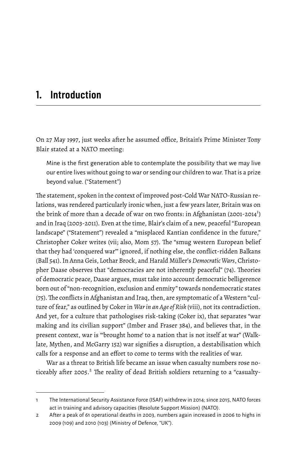### **1. Introduction**

On 27 May 1997, just weeks after he assumed office, Britain's Prime Minister Tony Blair stated at a NATO meeting:

Mine is the first generation able to contemplate the possibility that we may live our entire lives without going to war or sending our children to war. That is a prize beyond value. ("Statement")

The statement, spoken in the context of improved post-Cold War NATO-Russian relations, was rendered particularly ironic when, just a few years later, Britain was on the brink of more than a decade of war on two fronts: in Afghanistan (2001-2014 $^{\rm l}$ ) and in Iraq (2003-2011). Even at the time, Blair's claim of a new, peaceful "European landscape" ("Statement") revealed a "misplaced Kantian confidence in the future," Christopher Coker writes (vii; also, Mom 57). The "smug western European belief that they had 'conquered war'" ignored, if nothing else, the conflict-ridden Balkans (Ball 541). In Anna Geis, Lothar Brock, and Harald Müller's *DemocraticWars*, Christopher Daase observes that "democracies are not inherently peaceful" (74). Theories of democratic peace, Daase argues, must take into account democratic belligerence born out of "non-recognition, exclusion and enmity" towards nondemocratic states (75).The conflicts in Afghanistan and Iraq, then, are symptomatic of a Western "culture of fear," as outlined by Coker in *War in an Age of Risk* (viii), not its contradiction. And yet, for a culture that pathologises risk-taking (Coker ix), that separates "war making and its civilian support" (Imber and Fraser 384), and believes that, in the present context, war is "'brought home' to a nation that is not itself at war" (Walklate, Mythen, and McGarry 152) war signifies a disruption, a destabilisation which calls for a response and an effort to come to terms with the realities of war.

War as a threat to British life became an issue when casualty numbers rose noticeably after 2005.<sup>2</sup> The reality of dead British soldiers returning to a "casualty-

<sup>1</sup> The International Security Assistance Force (ISAF) withdrew in 2014; since 2015, NATO forces act in training and advisory capacities (Resolute Support Mission) (NATO).

<sup>2</sup> After a peak of 61 operational deaths in 2003, numbers again increased in 2006 to highs in 2009 (109) and 2010 (103) (Ministry of Defence, "UK").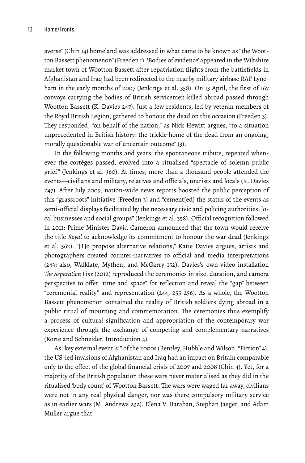averse" (Chin 14) homeland was addressed in what came to be known as "the Wootton Bassett phenomenon" (Freeden 1). 'Bodies of evidence' appeared in the Wiltshire market town of Wootton Bassett after repatriation flights from the battlefields in Afghanistan and Iraq had been redirected to the nearby military airbase RAF Lyneham in the early months of 2007 (Jenkings et al. 358). On 13 April, the first of 167 convoys carrying the bodies of British servicemen killed abroad passed through Wootton Bassett (K. Davies 247). Just a few residents, led by veteran members of the Royal British Legion, gathered to honour the dead on this occasion (Freeden 3). They responded, "on behalf of the nation," as Nick Hewitt argues, "to a situation unprecedented in British history: the trickle home of the dead from an ongoing, morally questionable war of uncertain outcome" (3).

In the following months and years, the spontaneous tribute, repeated whenever the cortèges passed, evolved into a ritualised "spectacle of solemn public grief" (Jenkings et al. 360). At times, more than a thousand people attended the events—civilians and military, relatives and officials, tourists and locals (K. Davies 247). After July 2009, nation-wide news reports boosted the public perception of this "grassroots" initiative (Freeden 3) and "cement[ed] the status of the events as semi-official displays facilitated by the necessary civic and policing authorities, local businesses and social groups" (Jenkings et al. 358). Official recognition followed in 2011: Prime Minister David Cameron announced that the town would receive the title *Royal* to acknowledge its commitment to honour the war dead (Jenkings et al. 362). "[T]o propose alternative relations," Katie Davies argues, artists and photographers created counter-narratives to official and media interpretations (243; also, Walklate, Mythen, and McGarry 152). Davies's own video installation *The Separation Line* (2012) reproduced the ceremonies in size, duration, and camera perspective to offer "time and space" for reflection and reveal the "gap" between "ceremonial reality" and representation (244, 255-256). As a whole, the Wootton Bassett phenomenon contained the reality of British soldiers dying abroad in a public ritual of mourning and commemoration. The ceremonies thus exemplify a process of cultural signification and appropriation of the contemporary war experience through the exchange of competing and complementary narratives (Korte and Schneider, Introduction 4).

As "key external event[s]" of the 2000s (Bentley, Hubble and Wilson, "Fiction" 4), the US-led invasions of Afghanistan and Iraq had an impact on Britain comparable only to the effect of the global financial crisis of 2007 and 2008 (Chin 4). Yet, for a majority of the British population these wars never materialised as they did in the ritualised 'body count' of Wootton Bassett. The wars were waged far away, civilians were not in any real physical danger, nor was there compulsory military service as in earlier wars (M. Andrews 232). Elena V. Baraban, Stephan Jaeger, and Adam Muller argue that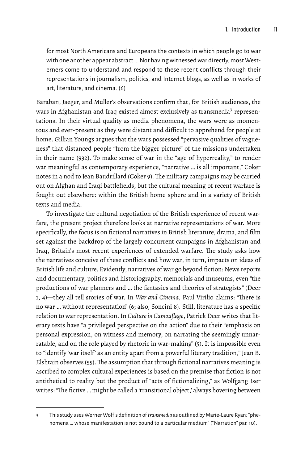for most North Americans and Europeans the contexts in which people go to war with one another appear abstract.... Not having witnessed war directly, most Westerners come to understand and respond to these recent conflicts through their representations in journalism, politics, and Internet blogs, as well as in works of art, literature, and cinema. (6)

Baraban, Jaeger, and Muller's observations confirm that, for British audiences, the wars in Afghanistan and Iraq existed almost exclusively as transmedia<sup>3</sup> representations. In their virtual quality as media phenomena, the wars were as momentous and ever-present as they were distant and difficult to apprehend for people at home. Gillian Youngs argues that the wars possessed "pervasive qualities of vagueness" that distanced people "from the bigger picture" of the missions undertaken in their name (932). To make sense of war in the "age of hyperreality," to render war meaningful as contemporary experience, "narrative … is all important," Coker notes in a nod to Jean Baudrillard (Coker 9). The military campaigns may be carried out on Afghan and Iraqi battlefields, but the cultural meaning of recent warfare is fought out elsewhere: within the British home sphere and in a variety of British texts and media.

To investigate the cultural negotiation of the British experience of recent warfare, the present project therefore looks at narrative representations of war. More specifically, the focus is on fictional narratives in British literature, drama, and film set against the backdrop of the largely concurrent campaigns in Afghanistan and Iraq, Britain's most recent experiences of extended warfare. The study asks how the narratives conceive of these conflicts and how war, in turn, impacts on ideas of British life and culture. Evidently, narratives of war go beyond fiction: News reports and documentary, politics and historiography, memorials and museums, even "the productions of war planners and … the fantasies and theories of strategists" (Deer 1, 4)—they all tell stories of war. In *War and Cinema*, Paul Virilio claims: "There is no war … without representation" (6; also, Soncini 8). Still, literature has a specific relation to war representation. In *Culture in Camouflage*, Patrick Deer writes that literary texts have "a privileged perspective on the action" due to their "emphasis on personal expression, on witness and memory, on narrating the seemingly unnarratable, and on the role played by rhetoric in war-making" (5). It is impossible even to "identify 'war itself' as an entity apart from a powerful literary tradition," Jean B. Elshtain observes (55). The assumption that through fictional narratives meaning is ascribed to complex cultural experiences is based on the premise that fiction is not antithetical to reality but the product of "acts of fictionalizing," as Wolfgang Iser writes: "The fictive … might be called a 'transitional object,' always hovering between

<sup>3</sup> This study uses Werner Wolf's definition of*transmedia* as outlined by Marie-Laure Ryan: "phenomena … whose manifestation is not bound to a particular medium" ("Narration" par. 10).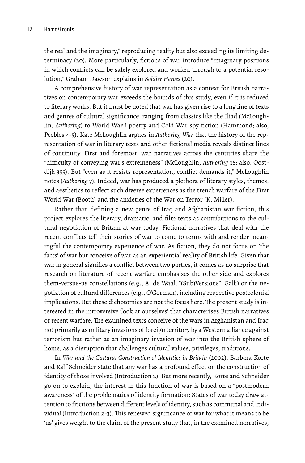the real and the imaginary," reproducing reality but also exceeding its limiting determinacy (20). More particularly, fictions of war introduce "imaginary positions in which conflicts can be safely explored and worked through to a potential resolution," Graham Dawson explains in *Soldier Heroes* (20).

A comprehensive history of war representation as a context for British narratives on contemporary war exceeds the bounds of this study, even if it is reduced to literary works. But it must be noted that war has given rise to a long line of texts and genres of cultural significance, ranging from classics like the Iliad (McLoughlin, *Authoring*) to World War I poetry and Cold War spy fiction (Hammond; also, Peebles 4-5). Kate McLoughlin argues in *Authoring War* that the history of the representation of war in literary texts and other fictional media reveals distinct lines of continuity. First and foremost, war narratives across the centuries share the "difficulty of conveying war's extremeness" (McLoughlin, *Authoring* 16; also, Oostdijk 355). But "even as it resists representation, conflict demands it," McLoughlin notes (*Authoring* 7). Indeed, war has produced a plethora of literary styles, themes, and aesthetics to reflect such diverse experiences as the trench warfare of the First World War (Booth) and the anxieties of the War on Terror (K. Miller).

Rather than defining a new genre of Iraq and Afghanistan war fiction, this project explores the literary, dramatic, and film texts as contributions to the cultural negotiation of Britain at war today. Fictional narratives that deal with the recent conflicts tell their stories of war to come to terms with and render meaningful the contemporary experience of war. As fiction, they do not focus on 'the facts' of war but conceive of war as an experiential reality of British life. Given that war in general signifies a conflict between two parties, it comes as no surprise that research on literature of recent warfare emphasises the other side and explores them-versus-us constellations (e.g., A. de Waal, "(Sub)Versions"; Galli) or the negotiation of cultural differences (e.g., O'Gorman), including respective postcolonial implications. But these dichotomies are not the focus here. The present study is interested in the introversive 'look at ourselves' that characterises British narratives of recent warfare. The examined texts conceive of the wars in Afghanistan and Iraq not primarily as military invasions of foreign territory by a Western alliance against terrorism but rather as an imaginary invasion of war into the British sphere of home, as a disruption that challenges cultural values, privileges, traditions.

In *War and the Cultural Construction of Identities in Britain* (2002), Barbara Korte and Ralf Schneider state that any war has a profound effect on the construction of identity of those involved (Introduction 2). But more recently, Korte and Schneider go on to explain, the interest in this function of war is based on a "postmodern awareness" of the problematics of identity formation: States of war today draw attention to frictions between different levels of identity, such as communal and individual (Introduction 2-3). This renewed significance of war for what it means to be 'us' gives weight to the claim of the present study that, in the examined narratives,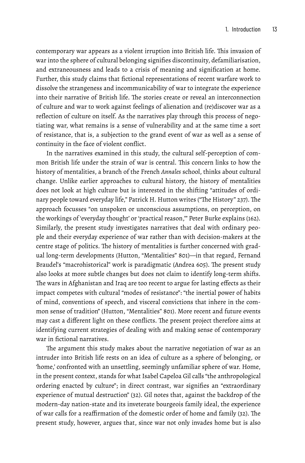contemporary war appears as a violent irruption into British life. This invasion of war into the sphere of cultural belonging signifies discontinuity, defamiliarisation, and extraneousness and leads to a crisis of meaning and signification at home. Further, this study claims that fictional representations of recent warfare work to dissolve the strangeness and incommunicability of war to integrate the experience into their narrative of British life. The stories create or reveal an interconnection of culture and war to work against feelings of alienation and (re)discover war as a reflection of culture on itself. As the narratives play through this process of negotiating war, what remains is a sense of vulnerability and at the same time a sort of resistance, that is, a subjection to the grand event of war as well as a sense of continuity in the face of violent conflict.

In the narratives examined in this study, the cultural self-perception of common British life under the strain of war is central. This concern links to how the history of mentalities, a branch of the French *Annales* school, thinks about cultural change. Unlike earlier approaches to cultural history, the history of mentalities does not look at high culture but is interested in the shifting "attitudes of ordinary people toward everyday life," Patrick H. Hutton writes ("The History" 237). The approach focusses "on unspoken or unconscious assumptions, on perception, on the workings of 'everyday thought' or 'practical reason,'" Peter Burke explains (162). Similarly, the present study investigates narratives that deal with ordinary people and their everyday experience of war rather than with decision-makers at the centre stage of politics. The history of mentalities is further concerned with gradual long-term developments (Hutton, "Mentalities" 801)—in that regard, Fernand Braudel's "macrohistorical" work is paradigmatic (Andrea 605). The present study also looks at more subtle changes but does not claim to identify long-term shifts. The wars in Afghanistan and Iraq are too recent to argue for lasting effects as their impact competes with cultural "modes of resistance": "the inertial power of habits of mind, conventions of speech, and visceral convictions that inhere in the common sense of tradition" (Hutton, "Mentalities" 801). More recent and future events may cast a different light on these conflicts. The present project therefore aims at identifying current strategies of dealing with and making sense of contemporary war in fictional narratives.

The argument this study makes about the narrative negotiation of war as an intruder into British life rests on an idea of culture as a sphere of belonging, or 'home,' confronted with an unsettling, seemingly unfamiliar sphere of war. Home, in the present context, stands for what Isabel Capeloa Gil calls "the anthropological ordering enacted by culture"; in direct contrast, war signifies an "extraordinary experience of mutual destruction" (32). Gil notes that, against the backdrop of the modern-day nation-state and its inveterate bourgeois family ideal, the experience of war calls for a reaffirmation of the domestic order of home and family (32). The present study, however, argues that, since war not only invades home but is also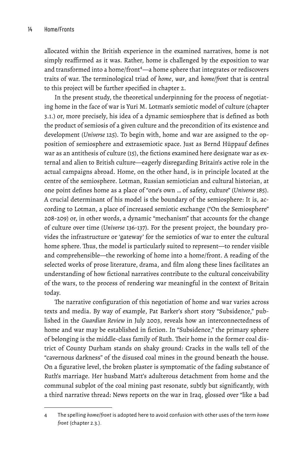allocated within the British experience in the examined narratives, home is not simply reaffirmed as it was. Rather, home is challenged by the exposition to war and transformed into a home/front<sup>4</sup>—a home sphere that integrates or rediscovers traits of war. The terminological triad of *home*, *war*, and *home/front* that is central to this project will be further specified in chapter 2.

In the present study, the theoretical underpinning for the process of negotiating home in the face of war is Yuri M. Lotman's semiotic model of culture (chapter 3.1.) or, more precisely, his idea of a dynamic semiosphere that is defined as both the product of semiosis of a given culture and the precondition of its existence and development (*Universe* 125). To begin with, home and war are assigned to the opposition of semiosphere and extrasemiotic space. Just as Bernd Hüppauf defines war as an antithesis of culture (15), the fictions examined here designate war as external and alien to British culture—eagerly disregarding Britain's active role in the actual campaigns abroad. Home, on the other hand, is in principle located at the centre of the semiosphere. Lotman, Russian semiotician and cultural historian, at one point defines home as a place of "one's own … of safety, culture" (*Universe* 185). A crucial determinant of his model is the boundary of the semiosphere: It is, according to Lotman, a place of increased semiotic exchange ("On the Semiosphere" 208-209) or, in other words, a dynamic "mechanism" that accounts for the change of culture over time (*Universe* 136-137). For the present project, the boundary provides the infrastructure or 'gateway' for the semiotics of war to enter the cultural home sphere. Thus, the model is particularly suited to represent—to render visible and comprehensible—the reworking of home into a home/front. A reading of the selected works of prose literature, drama, and film along these lines facilitates an understanding of how fictional narratives contribute to the cultural conceivability of the wars, to the process of rendering war meaningful in the context of Britain today.

The narrative configuration of this negotiation of home and war varies across texts and media. By way of example, Pat Barker's short story "Subsidence," published in the *Guardian Review* in July 2003, reveals how an interconnectedness of home and war may be established in fiction. In "Subsidence," the primary sphere of belonging is the middle-class family of Ruth. Their home in the former coal district of County Durham stands on shaky ground: Cracks in the walls tell of the "cavernous darkness" of the disused coal mines in the ground beneath the house. On a figurative level, the broken plaster is symptomatic of the fading substance of Ruth's marriage. Her husband Matt's adulterous detachment from home and the communal subplot of the coal mining past resonate, subtly but significantly, with a third narrative thread: News reports on the war in Iraq, glossed over "like a bad

<sup>4</sup> The spelling *home/front* is adopted here to avoid confusion with other uses of the term *home front* (chapter 2.3.).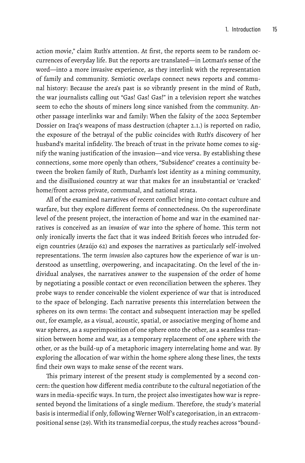action movie," claim Ruth's attention. At first, the reports seem to be random occurrences of everyday life. But the reports are translated—in Lotman's sense of the word—into a more invasive experience, as they interlink with the representation of family and community. Semiotic overlaps connect news reports and communal history: Because the area's past is so vibrantly present in the mind of Ruth, the war journalists calling out "Gas! Gas! Gas!" in a television report she watches seem to echo the shouts of miners long since vanished from the community. Another passage interlinks war and family: When the falsity of the 2002 September Dossier on Iraq's weapons of mass destruction (chapter 2.1.) is reported on radio, the exposure of the betrayal of the public coincides with Ruth's discovery of her husband's marital infidelity. The breach of trust in the private home comes to signify the waning justification of the invasion—and vice versa. By establishing these connections, some more openly than others, "Subsidence" creates a continuity between the broken family of Ruth, Durham's lost identity as a mining community, and the disillusioned country at war that makes for an insubstantial or 'cracked' home/front across private, communal, and national strata.

All of the examined narratives of recent conflict bring into contact culture and warfare, but they explore different forms of connectedness. On the superordinate level of the present project, the interaction of home and war in the examined narratives is conceived as an *invasion* of war into the sphere of home. This term not only ironically inverts the fact that it was indeed British forces who intruded foreign countries (Araújo 62) and exposes the narratives as particularly self-involved representations. The term *invasion* also captures how the experience of war is understood as unsettling, overpowering, and incapacitating. On the level of the individual analyses, the narratives answer to the suspension of the order of home by negotiating a possible contact or even reconciliation between the spheres. They probe ways to render conceivable the violent experience of war that is introduced to the space of belonging. Each narrative presents this interrelation between the spheres on its own terms: The contact and subsequent interaction may be spelled out, for example, as a visual, acoustic, spatial, or associative merging of home and war spheres, as a superimposition of one sphere onto the other, as a seamless transition between home and war, as a temporary replacement of one sphere with the other, or as the build-up of a metaphoric imagery interrelating home and war. By exploring the allocation of war within the home sphere along these lines, the texts find their own ways to make sense of the recent wars.

This primary interest of the present study is complemented by a second concern: the question how different media contribute to the cultural negotiation of the wars in media-specific ways. In turn, the project also investigates how war is represented beyond the limitations of a single medium. Therefore, the study's material basis is intermedial if only, following Werner Wolf 's categorisation, in an extracompositional sense (29). With its transmedial corpus, the study reaches across "bound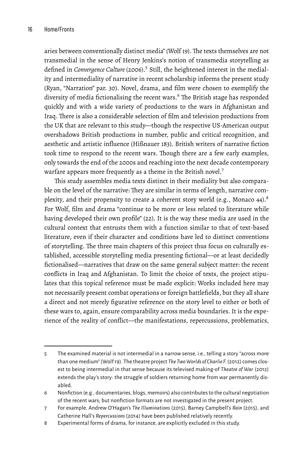aries between conventionally distinct media" (Wolf 19). The texts themselves are not transmedial in the sense of Henry Jenkins's notion of transmedia storytelling as defined in *Convergence Culture* (2006).5 Still, the heightened interest in the mediality and intermediality of narrative in recent scholarship informs the present study (Ryan, "Narration" par. 30). Novel, drama, and film were chosen to exemplify the diversity of media fictionalising the recent wars.<sup>6</sup> The British stage has responded quickly and with a wide variety of productions to the wars in Afghanistan and Iraq. There is also a considerable selection of film and television productions from the UK that are relevant to this study—though the respective US-American output overshadows British productions in number, public and critical recognition, and aesthetic and artistic influence (Hißnauer 183). British writers of narrative fiction took time to respond to the recent wars. Though there are a few early examples, only towards the end of the 2000s and reaching into the next decade contemporary warfare appears more frequently as a theme in the British novel.<sup>7</sup>

This study assembles media texts distinct in their mediality but also comparable on the level of the narrative: They are similar in terms of length, narrative complexity, and their propensity to create a coherent story world (e.g., Monaco 44). $^8$ For Wolf, film and drama "continue to be more or less related to literature while having developed their own profile" (22). It is the way these media are used in the cultural context that entrusts them with a function similar to that of text-based literature, even if their character and conditions have led to distinct conventions of storytelling. The three main chapters of this project thus focus on culturally established, accessible storytelling media presenting fictional—or at least decidedly fictionalised—narratives that draw on the same general subject matter: the recent conflicts in Iraq and Afghanistan. To limit the choice of texts, the project stipulates that this topical reference must be made explicit: Works included here may not necessarily present combat operations or foreign battlefields, but they all share a direct and not merely figurative reference on the story level to either or both of these wars to, again, ensure comparability across media boundaries. It is the experience of the reality of conflict—the manifestations, repercussions, problematics,

<sup>5</sup> The examined material is not intermedial in a narrow sense, i.e., telling a story "across more than one medium" (Wolf 19). The theatre project *The TwoWorlds of Charlie F.* (2012) comes closest to being intermedial in that sense because its televised making-of *Theatre of War* (2012) extends the play's story: the struggle of soldiers returning home from war permanently disabled.

<sup>6</sup> Nonfiction (e.g., documentaries, blogs, memoirs) also contributes to the cultural negotiation of the recent wars; but nonfiction formats are not investigated in the present project.

<sup>7</sup> For example, Andrew O'Hagan's *The Illuminations* (2015), Barney Campbell's *Rain* (2015), and Catherine Hall's *Repercussions* (2014) have been published relatively recently.

<sup>8</sup> Experimental forms of drama, for instance, are explicitly excluded in this study.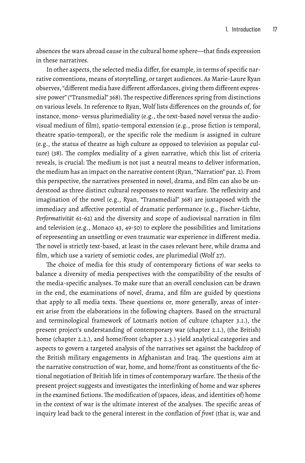absences the wars abroad cause in the cultural home sphere—that finds expression in these narratives.

In other aspects, the selected media differ, for example, in terms of specific narrative conventions, means of storytelling, or target audiences. As Marie-Laure Ryan observes, "different media have different affordances, giving them different expressive power" ("Transmedial" 368). The respective differences spring from distinctions on various levels. In reference to Ryan, Wolf lists differences on the grounds of, for instance, mono- versus plurimediality (e.g., the text-based novel versus the audiovisual medium of film), spatio-temporal extension (e.g., prose fiction is temporal, theatre spatio-temporal), or the specific role the medium is assigned in culture (e.g., the status of theatre as high culture as opposed to television as popular culture) (38). The complex mediality of a given narrative, which this list of criteria reveals, is crucial: The medium is not just a neutral means to deliver information, the medium has an impact on the narrative content (Ryan, "Narration" par. 2). From this perspective, the narratives presented in novel, drama, and film can also be understood as three distinct cultural responses to recent warfare. The reflexivity and imagination of the novel (e.g., Ryan, "Transmedial" 368) are juxtaposed with the immediacy and affective potential of dramatic performance (e.g., Fischer-Lichte, *Performativität* 61-62) and the diversity and scope of audiovisual narration in film and television (e.g., Monaco 43, 49-50) to explore the possibilities and limitations of representing an unsettling or even traumatic war experience in different media. The novel is strictly text-based, at least in the cases relevant here, while drama and film, which use a variety of semiotic codes, are plurimedial (Wolf 27).

The choice of media for this study of contemporary fictions of war seeks to balance a diversity of media perspectives with the compatibility of the results of the media-specific analyses. To make sure that an overall conclusion can be drawn in the end, the examinations of novel, drama, and film are guided by questions that apply to all media texts. These questions or, more generally, areas of interest arise from the elaborations in the following chapters. Based on the structural and terminological framework of Lotman's notion of culture (chapter 3.1.), the present project's understanding of contemporary war (chapter 2.1.), (the British) home (chapter 2.2.), and home/front (chapter 2.3.) yield analytical categories and aspects to govern a targeted analysis of the narratives set against the backdrop of the British military engagements in Afghanistan and Iraq. The questions aim at the narrative construction of war, home, and home/front as constituents of the fictional negotiation of British life in times of contemporary warfare. The thesis of the present project suggests and investigates the interlinking of home and war spheres in the examined fictions.The modification of (spaces, ideas, and identities of) home in the context of war is the ultimate interest of the analyses. The specific areas of inquiry lead back to the general interest in the conflation of *front* (that is, war and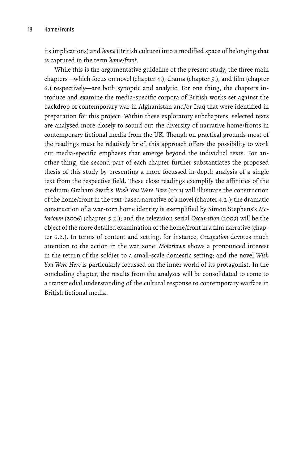its implications) and *home* (British culture) into a modified space of belonging that is captured in the term *home/front*.

While this is the argumentative guideline of the present study, the three main chapters—which focus on novel (chapter 4.), drama (chapter 5.), and film (chapter 6.) respectively—are both synoptic and analytic. For one thing, the chapters introduce and examine the media-specific corpora of British works set against the backdrop of contemporary war in Afghanistan and/or Iraq that were identified in preparation for this project. Within these exploratory subchapters, selected texts are analysed more closely to sound out the diversity of narrative home/fronts in contemporary fictional media from the UK. Though on practical grounds most of the readings must be relatively brief, this approach offers the possibility to work out media-specific emphases that emerge beyond the individual texts. For another thing, the second part of each chapter further substantiates the proposed thesis of this study by presenting a more focussed in-depth analysis of a single text from the respective field. These close readings exemplify the affinities of the medium: Graham Swift's *Wish You Were Here* (2011) will illustrate the construction of the home/front in the text-based narrative of a novel (chapter 4.2.); the dramatic construction of a war-torn home identity is exemplified by Simon Stephens's *Motortown* (2006) (chapter 5.2.); and the television serial *Occupation* (2009) will be the object of the more detailed examination of the home/front in a film narrative (chapter 6.2.). In terms of content and setting, for instance, *Occupation* devotes much attention to the action in the war zone; *Motortown* shows a pronounced interest in the return of the soldier to a small-scale domestic setting; and the novel *Wish You Were Here* is particularly focussed on the inner world of its protagonist. In the concluding chapter, the results from the analyses will be consolidated to come to a transmedial understanding of the cultural response to contemporary warfare in British fictional media.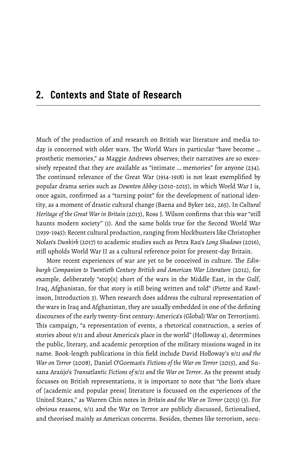#### **2. Contexts and State of Research**

Much of the production of and research on British war literature and media today is concerned with older wars. The World Wars in particular "have become … prosthetic memories," as Maggie Andrews observes; their narratives are so excessively repeated that they are available as "intimate … memories" for anyone (234). The continued relevance of the Great War (1914-1918) is not least exemplified by popular drama series such as *Downton Abbey* (2010-2015), in which World War I is, once again, confirmed as a "turning point" for the development of national identity, as a moment of drastic cultural change (Baena and Byker 262, 265). In *Cultural Heritage of the Great War in Britain* (2013), Ross J. Wilson confirms that this war "still haunts modern society" (1). And the same holds true for the Second World War (1939-1945): Recent cultural production, ranging from blockbusters like Christopher Nolan's *Dunkirk* (2017) to academic studies such as Petra Rau's *Long Shadows* (2016), still upholds World War II as a cultural reference point for present-day Britain.

More recent experiences of war are yet to be conceived in culture. The *Edinburgh Companion to Twentieth Century British and American War Literature* (2012), for example, deliberately "stop[s] short of the wars in the Middle East, in the Gulf, Iraq, Afghanistan, for that story is still being written and told" (Piette and Rawlinson, Introduction 3). When research does address the cultural representation of the wars in Iraq and Afghanistan, they are usually embedded in one of the defining discourses of the early twenty-first century: America's (Global) War on Terror(ism). This campaign, "a representation of events, a rhetorical construction, a series of stories about 9/11 and about America's place in the world" (Holloway 4), determines the public, literary, and academic perception of the military missions waged in its name. Book-length publications in this field include David Holloway's *9/11 and the War on Terror* (2008), Daniel O'Gorman's *Fictions of the War on Terror* (2015), and Susana Araújo's *Transatlantic Fictions of 9/11 and the War on Terror*. As the present study focusses on British representations, it is important to note that "the lion's share of [academic and popular press] literature is focussed on the experiences of the United States," as Warren Chin notes in *Britain and the War on Terror* (2013) (3). For obvious reasons, 9/11 and the War on Terror are publicly discussed, fictionalised, and theorised mainly as American concerns. Besides, themes like terrorism, secu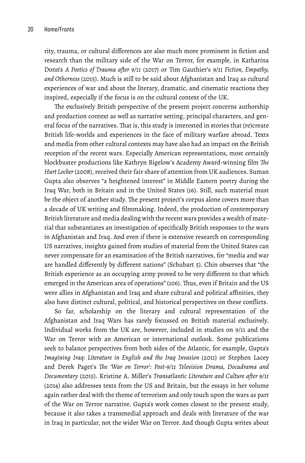rity, trauma, or cultural differences are also much more prominent in fiction and research than the military side of the War on Terror, for example, in Katharina Donn's *A Poetics of Trauma after 9/11* (2017) or Tim Gauthier's *9/11 Fiction, Empathy, and Otherness* (2015). Much is still to be said about Afghanistan and Iraq as cultural experiences of war and about the literary, dramatic, and cinematic reactions they inspired, especially if the focus is on the cultural context of the UK.

The exclusively British perspective of the present project concerns authorship and production context as well as narrative setting, principal characters, and general focus of the narratives. That is, this study is interested in stories that (re)create British life-worlds and experiences in the face of military warfare abroad. Texts and media from other cultural contexts may have also had an impact on the British reception of the recent wars. Especially American representations, most certainly blockbuster productions like Kathryn Bigelow's Academy Award-winning film *The Hurt Locker* (2008), received their fair share of attention from UK audiences. Suman Gupta also observes "a heightened interest" in Middle Eastern poetry during the Iraq War, both in Britain and in the United States (16). Still, such material must be the object of another study. The present project's corpus alone covers more than a decade of UK writing and filmmaking. Indeed, the production of contemporary British literature and media dealing with the recent wars provides a wealth of material that substantiates an investigation of specifically British responses to the wars in Afghanistan and Iraq. And even if there is extensive research on corresponding US narratives, insights gained from studies of material from the United States can never compensate for an examination of the British narratives, for "media and war are handled differently by different nations" (Schubart 5). Chin observes that "the British experience as an occupying army proved to be very different to that which emerged in the American area of operations" (106). Thus, even if Britain and the US were allies in Afghanistan and Iraq and share cultural and political affinities, they also have distinct cultural, political, and historical perspectives on these conflicts.

So far, scholarship on the literary and cultural representation of the Afghanistan and Iraq Wars has rarely focussed on British material exclusively. Individual works from the UK are, however, included in studies on 9/11 and the War on Terror with an American or international outlook. Some publications seek to balance perspectives from both sides of the Atlantic, for example, Gupta's *Imagining Iraq: Literature in English and the Iraq Invasion* (2011) or Stephen Lacey and Derek Paget's *The 'War on Terror': Post-9/11 Television Drama, Docudrama and Documentary* (2015). Kristine A. Miller's *Transatlantic Literature and Culture after 9/11* (2014) also addresses texts from the US and Britain, but the essays in her volume again rather deal with the theme of terrorism and only touch upon the wars as part of the War on Terror narrative. Gupta's work comes closest to the present study, because it also takes a transmedial approach and deals with literature of the war in Iraq in particular, not the wider War on Terror. And though Gupta writes about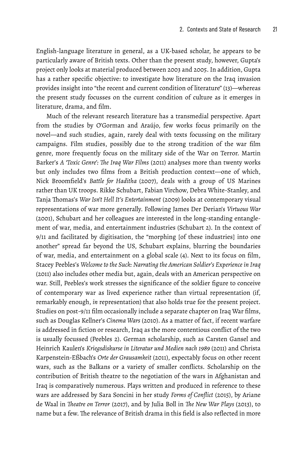English-language literature in general, as a UK-based scholar, he appears to be particularly aware of British texts. Other than the present study, however, Gupta's project only looks at material produced between 2003 and 2005. In addition, Gupta has a rather specific objective: to investigate how literature on the Iraq invasion provides insight into "the recent and current condition of literature" (13)—whereas the present study focusses on the current condition of culture as it emerges in literature, drama, and film.

Much of the relevant research literature has a transmedial perspective. Apart from the studies by O'Gorman and Araújo, few works focus primarily on the novel—and such studies, again, rarely deal with texts focussing on the military campaigns. Film studies, possibly due to the strong tradition of the war film genre, more frequently focus on the military side of the War on Terror. Martin Barker's *A 'Toxic Genre': The Iraq War Films* (2011) analyses more than twenty works but only includes two films from a British production context—one of which, Nick Broomfield's *Battle for Haditha* (2007), deals with a group of US Marines rather than UK troops. Rikke Schubart, Fabian Virchow, Debra White-Stanley, and Tanja Thomas's *War Isn't Hell It's Entertainment* (2009) looks at contemporary visual representations of war more generally. Following James Der Derian's *Virtuous War* (2001), Schubart and her colleagues are interested in the long-standing entanglement of war, media, and entertainment industries (Schubart 2). In the context of 9/11 and facilitated by digitisation, the "morphing [of these industries] into one another" spread far beyond the US, Schubart explains, blurring the boundaries of war, media, and entertainment on a global scale (4). Next to its focus on film, Stacey Peebles's *Welcome to the Suck: Narrating the American Soldier's Experience in Iraq* (2011) also includes other media but, again, deals with an American perspective on war. Still, Peebles's work stresses the significance of the soldier figure to conceive of contemporary war as lived experience rather than virtual representation (if, remarkably enough, *in* representation) that also holds true for the present project. Studies on post-9/11 film occasionally include a separate chapter on Iraq War films, such as Douglas Kellner's *Cinema Wars* (2010). As a matter of fact, if recent warfare is addressed in fiction or research, Iraq as the more contentious conflict of the two is usually focussed (Peebles 2). German scholarship, such as Carsten Gansel and Heinrich Kaulen's *Kriegsdiskurse in Literatur und Medien nach 1989* (2011) and Christa Karpenstein-Eßbach's *Orte der Grausamkeit* (2011), expectably focus on other recent wars, such as the Balkans or a variety of smaller conflicts. Scholarship on the contribution of British theatre to the negotiation of the wars in Afghanistan and Iraq is comparatively numerous. Plays written and produced in reference to these wars are addressed by Sara Soncini in her study *Forms of Conflict* (2015), by Ariane de Waal in *Theatre on Terror* (2017), and by Julia Boll in *The New War Plays* (2013), to name but a few. The relevance of British drama in this field is also reflected in more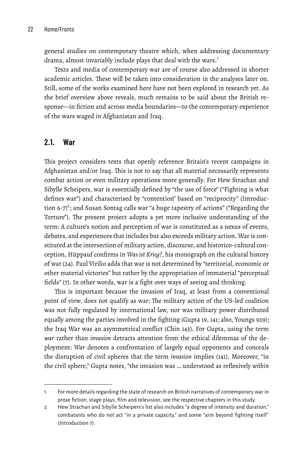general studies on contemporary theatre which, when addressing documentary drama, almost invariably include plays that deal with the wars.<sup>1</sup>

Texts and media of contemporary war are of course also addressed in shorter academic articles. These will be taken into consideration in the analyses later on. Still, some of the works examined here have not been explored in research yet. As the brief overview above reveals, much remains to be said about the British response—in fiction and across media boundaries—to the contemporary experience of the wars waged in Afghanistan and Iraq.

#### **2.1. War**

This project considers texts that openly reference Britain's recent campaigns in Afghanistan and/or Iraq. This is not to say that all material necessarily represents combat action or even military operations more generally. For Hew Strachan and Sibylle Scheipers, war is essentially defined by "the use of force" ("Fighting is what defines war") and characterised by "contention" based on "reciprocity" (Introduction 6-7)<sup>2</sup>; and Susan Sontag calls war "a huge tapestry of actions" ("Regarding the Torture"). The present project adopts a yet more inclusive understanding of the term: A culture's notion and perception of war is constituted as a nexus of events, debates, and experiences that includes but also exceeds military action. War is constituted at the intersection of military action, discourse, and historico-cultural conception, Hüppauf confirms in *Was ist Krieg?*, his monograph on the cultural history of war (24). Paul Virilio adds that war is not determined by "territorial, economic or other material victories" but rather by the appropriation of immaterial "perceptual fields" (7). In other words, war is a fight over ways of seeing and thinking.

This is important because the invasion of Iraq, at least from a conventional point of view, does not qualify as war: The military action of the US-led coalition was not fully regulated by international law, nor was military power distributed equally among the parties involved in the fighting (Gupta 19, 141; also, Youngs 929); the Iraq War was an asymmetrical conflict (Chin 143). For Gupta, using the term *war* rather than *invasion* detracts attention from the ethical dilemmas of the deployment: *War* denotes a confrontation of largely equal opponents and conceals the disruption of civil spheres that the term *invasion* implies (141). Moreover, "in the civil sphere," Gupta notes, "the invasion was … understood as reflexively *within*

<sup>1</sup> For more details regarding the state of research on British narratives of contemporary war in prose fiction, stage plays, film and television, see the respective chapters in this study.

<sup>2</sup> Hew Strachan and Sibylle Scheipers's list also includes "a degree of intensity and duration," combatants who do not act "in a private capacity," and some "aim beyond fighting itself" (Introduction 7).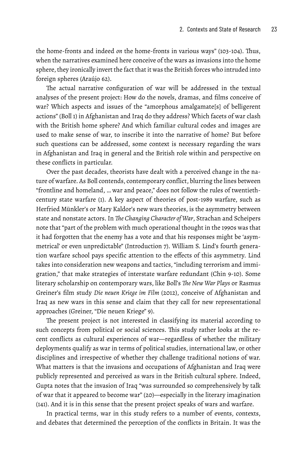the home-fronts and indeed *on* the home-fronts in various ways" (103-104). Thus, when the narratives examined here conceive of the wars as invasions into the home sphere, they ironically invert the fact that it was the British forces who intruded into foreign spheres (Araújo 62).

The actual narrative configuration of war will be addressed in the textual analyses of the present project: How do the novels, dramas, and films conceive of war? Which aspects and issues of the "amorphous amalgamate[s] of belligerent actions" (Boll 1) in Afghanistan and Iraq do they address? Which facets of war clash with the British home sphere? And which familiar cultural codes and images are used to make sense of war, to inscribe it into the narrative of home? But before such questions can be addressed, some context is necessary regarding the wars in Afghanistan and Iraq in general and the British role within and perspective on these conflicts in particular.

Over the past decades, theorists have dealt with a perceived change in the nature of warfare. As Boll contends, contemporary conflict, blurring the lines between "frontline and homeland, … war and peace," does not follow the rules of twentiethcentury state warfare (1). A key aspect of theories of post-1989 warfare, such as Herfried Münkler's or Mary Kaldor's new wars theories, is the asymmetry between state and nonstate actors. In *The Changing Character of War*, Strachan and Scheipers note that "part of the problem with much operational thought in the 1990s was that it had forgotten that the enemy has a vote and that his responses might be 'asymmetrical' or even unpredictable" (Introduction 7). William S. Lind's fourth generation warfare school pays specific attention to the effects of this asymmetry. Lind takes into consideration new weapons and tactics, "including terrorism and immigration," that make strategies of interstate warfare redundant (Chin 9-10). Some literary scholarship on contemporary wars, like Boll's *The New War Plays* or Rasmus Greiner's film study *Die neuen Kriege im Film* (2012), conceive of Afghanistan and Iraq as new wars in this sense and claim that they call for new representational approaches (Greiner, "Die neuen Kriege" 9).

The present project is not interested in classifying its material according to such concepts from political or social sciences. This study rather looks at the recent conflicts as cultural experiences of war—regardless of whether the military deployments qualify as war in terms of political studies, international law, or other disciplines and irrespective of whether they challenge traditional notions of war. What matters is that the invasions and occupations of Afghanistan and Iraq were publicly represented and perceived as wars in the British cultural sphere. Indeed, Gupta notes that the invasion of Iraq "was surrounded so comprehensively by talk of war that it appeared to become war" (20)—especially in the literary imagination (141). And it is in this sense that the present project speaks of wars and warfare.

In practical terms, war in this study refers to a number of events, contexts, and debates that determined the perception of the conflicts in Britain. It was the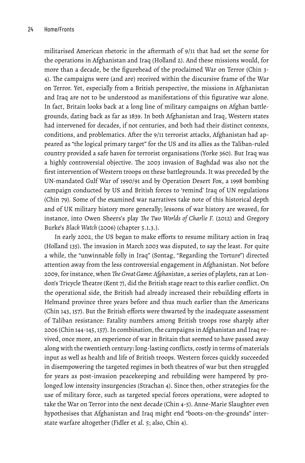militarised American rhetoric in the aftermath of 9/11 that had set the scene for the operations in Afghanistan and Iraq (Holland 2). And these missions would, for more than a decade, be the figurehead of the proclaimed War on Terror (Chin 3- 4). The campaigns were (and are) received within the discursive frame of the War on Terror. Yet, especially from a British perspective, the missions in Afghanistan and Iraq are not to be understood as manifestations of this figurative war alone. In fact, Britain looks back at a long line of military campaigns on Afghan battlegrounds, dating back as far as 1839. In both Afghanistan and Iraq, Western states had intervened for decades, if not centuries, and both had their distinct contexts, conditions, and problematics. After the 9/11 terrorist attacks, Afghanistan had appeared as "the logical primary target" for the US and its allies as the Taliban-ruled country provided a safe haven for terrorist organisations (Yorke 360). But Iraq was a highly controversial objective. The 2003 invasion of Baghdad was also not the first intervention of Western troops on these battlegrounds. It was preceded by the UN-mandated Gulf War of 1990/91 and by Operation Desert Fox, a 1998 bombing campaign conducted by US and British forces to 'remind' Iraq of UN regulations (Chin 79). Some of the examined war narratives take note of this historical depth and of UK military history more generally; lessons of war history are weaved, for instance, into Owen Sheers's play *The Two Worlds of Charlie F.* (2012) and Gregory Burke's *Black Watch* (2006) (chapter 5.1.3.).

In early 2002, the US began to make efforts to resume military action in Iraq (Holland 135). The invasion in March 2003 was disputed, to say the least. For quite a while, the "unwinnable folly in Iraq" (Sontag, "Regarding the Torture") directed attention away from the less controversial engagement in Afghanistan. Not before 2009, for instance, when *The Great Game: Afghanistan*, a series of playlets, ran at London's Tricycle Theatre (Kent 7), did the British stage react to this earlier conflict. On the operational side, the British had already increased their rebuilding efforts in Helmand province three years before and thus much earlier than the Americans (Chin 143, 157). But the British efforts were thwarted by the inadequate assessment of Taliban resistance: Fatality numbers among British troops rose sharply after 2006 (Chin 144-145, 157). In combination, the campaigns in Afghanistan and Iraq revived, once more, an experience of war in Britain that seemed to have passed away along with the twentieth century: long-lasting conflicts, costly in terms of materials input as well as health and life of British troops. Western forces quickly succeeded in disempowering the targeted regimes in both theatres of war but then struggled for years as post-invasion peacekeeping and rebuilding were hampered by prolonged low intensity insurgencies (Strachan 4). Since then, other strategies for the use of military force, such as targeted special forces operations, were adopted to take the War on Terror into the next decade (Chin 4-5). Anne-Marie Slaughter even hypothesises that Afghanistan and Iraq might end "boots-on-the-grounds" interstate warfare altogether (Fidler et al. 5; also, Chin 4).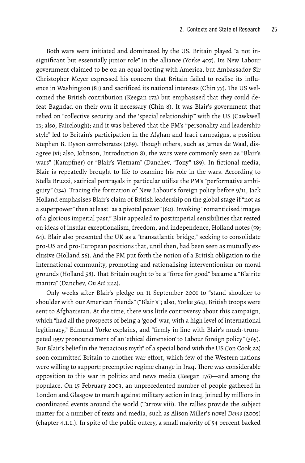Both wars were initiated and dominated by the US. Britain played "a not insignificant but essentially junior role" in the alliance (Yorke 407). Its New Labour government claimed to be on an equal footing with America, but Ambassador Sir Christopher Meyer expressed his concern that Britain failed to realise its influence in Washington (81) and sacrificed its national interests (Chin 77). The US welcomed the British contribution (Keegan 172) but emphasised that they could defeat Baghdad on their own if necessary (Chin 8). It was Blair's government that relied on "collective security and the 'special relationship'" with the US (Cawkwell 13; also, Fairclough); and it was believed that the PM's "personality and leadership style" led to Britain's participation in the Afghan and Iraqi campaigns, a position Stephen B. Dyson corroborates (289). Though others, such as James de Waal, disagree (vi; also, Johnson, Introduction 8), the wars were commonly seen as "Blair's wars" (Kampfner) or "Blair's Vietnam" (Danchev, "Tony" 189). In fictional media, Blair is repeatedly brought to life to examine his role in the wars. According to Stella Bruzzi, satirical portrayals in particular utilise the PM's "performative ambiguity" (134). Tracing the formation of New Labour's foreign policy before 9/11, Jack Holland emphasises Blair's claim of British leadership on the global stage if "not as a superpower" then at least "as a pivotal power" (60). Invoking "romanticised images of a glorious imperial past," Blair appealed to postimperial sensibilities that rested on ideas of insular exceptionalism, freedom, and independence, Holland notes (59; 64). Blair also presented the UK as a "transatlantic bridge," seeking to consolidate pro-US and pro-European positions that, until then, had been seen as mutually exclusive (Holland 56). And the PM put forth the notion of a British obligation to the international community, promoting and rationalising interventionism on moral grounds (Holland 58). That Britain ought to be a "force for good" became a "Blairite mantra" (Danchev, *On Art* 222).

Only weeks after Blair's pledge on 11 September 2001 to "stand shoulder to shoulder with our American friends" ("Blair's"; also, Yorke 364), British troops were sent to Afghanistan. At the time, there was little controversy about this campaign, which "had all the prospects of being a 'good' war, with a high level of international legitimacy," Edmund Yorke explains, and "firmly in line with Blair's much-trumpeted 1997 pronouncement of an 'ethical dimension' to Labour foreign policy" (365). But Blair's belief in the "tenacious myth" of a special bond with the US (Jon Cook 22) soon committed Britain to another war effort, which few of the Western nations were willing to support: preemptive regime change in Iraq. There was considerable opposition to this war in politics and news media (Keegan 176)—and among the populace. On 15 February 2003, an unprecedented number of people gathered in London and Glasgow to march against military action in Iraq, joined by millions in coordinated events around the world (Tarrow viii). The rallies provide the subject matter for a number of texts and media, such as Alison Miller's novel *Demo* (2005) (chapter 4.1.1.). In spite of the public outcry, a small majority of 54 percent backed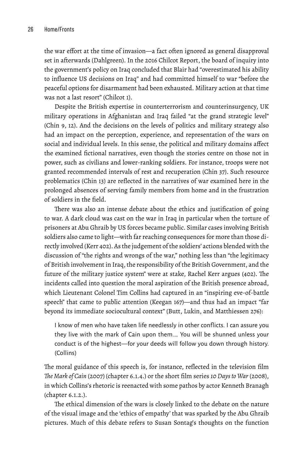the war effort at the time of invasion—a fact often ignored as general disapproval set in afterwards (Dahlgreen). In the 2016 Chilcot Report, the board of inquiry into the government's policy on Iraq concluded that Blair had "overestimated his ability to influence US decisions on Iraq" and had committed himself to war "before the peaceful options for disarmament had been exhausted. Military action at that time was not a last resort" (Chilcot 1).

Despite the British expertise in counterterrorism and counterinsurgency, UK military operations in Afghanistan and Iraq failed "at the grand strategic level" (Chin 9, 12). And the decisions on the levels of politics and military strategy also had an impact on the perception, experience, and representation of the wars on social and individual levels. In this sense, the political and military domains affect the examined fictional narratives, even though the stories centre on those not in power, such as civilians and lower-ranking soldiers. For instance, troops were not granted recommended intervals of rest and recuperation (Chin 37). Such resource problematics (Chin 13) are reflected in the narratives of war examined here in the prolonged absences of serving family members from home and in the frustration of soldiers in the field.

There was also an intense debate about the ethics and justification of going to war. A dark cloud was cast on the war in Iraq in particular when the torture of prisoners at Abu Ghraib by US forces became public. Similar cases involving British soldiers also came to light—with far reaching consequences for more than those directly involved (Kerr 402). As the judgement of the soldiers' actions blended with the discussion of "the rights and wrongs of the war," nothing less than "the legitimacy of British involvement in Iraq, the responsibility of the British Government, and the future of the military justice system" were at stake, Rachel Kerr argues (402). The incidents called into question the moral aspiration of the British presence abroad, which Lieutenant Colonel Tim Collins had captured in an "inspiring eve-of-battle speech" that came to public attention (Keegan 167)—and thus had an impact "far beyond its immediate sociocultural context" (Butt, Lukin, and Matthiessen 276):

I know of men who have taken life needlessly in other conflicts. I can assure you they live with the mark of Cain upon them.… You will be shunned unless your conduct is of the highest—for your deeds will follow you down through history. (Collins)

The moral guidance of this speech is, for instance, reflected in the television film *The Mark of Cain* (2007) (chapter 6.1.4.) or the short film series *10 Days to War* (2008), in which Collins's rhetoric is reenacted with some pathos by actor Kenneth Branagh (chapter 6.1.2.).

The ethical dimension of the wars is closely linked to the debate on the nature of the visual image and the 'ethics of empathy' that was sparked by the Abu Ghraib pictures. Much of this debate refers to Susan Sontag's thoughts on the function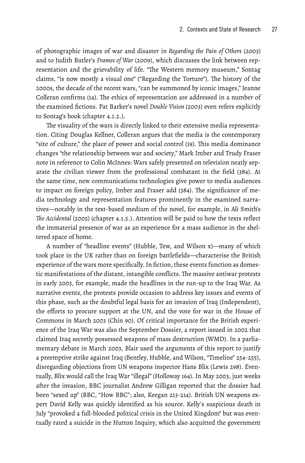of photographic images of war and disaster in *Regarding the Pain of Others* (2003) and to Judith Butler's *Frames of War* (2009), which discusses the link between representation and the grievability of life. "The Western memory museum," Sontag claims, "is now mostly a visual one" ("Regarding the Torture"). The history of the 2000s, the decade of the recent wars, "can be summoned by iconic images," Jeanne Colleran confirms (14). The ethics of representation are addressed in a number of the examined fictions. Pat Barker's novel *Double Vision* (2003) even refers explicitly to Sontag's book (chapter 4.1.2.).

The visuality of the wars is directly linked to their extensive media representation. Citing Douglas Kellner, Colleran argues that the media is the contemporary "site of culture," the place of power and social control (19). This media dominance changes "the relationship between war and society," Mark Imber and Trudy Fraser note in reference to Colin McInnes: Wars safely presented on television neatly separate the civilian viewer from the professional combatant in the field (384). At the same time, new communications technologies give power to media audiences to impact on foreign policy, Imber and Fraser add (384). The significance of media technology and representation features prominently in the examined narratives—notably in the text-based medium of the novel, for example, in Ali Smith's *The Accidental* (2005) (chapter 4.1.5.). Attention will be paid to how the texts reflect the immaterial presence of war as an experience for a mass audience in the sheltered space of home.

A number of "headline events" (Hubble, Tew, and Wilson x)—many of which took place in the UK rather than on foreign battlefields—characterise the British experience of the wars more specifically. In fiction, these events function as domestic manifestations of the distant, intangible conflicts. The massive antiwar protests in early 2003, for example, made the headlines in the run-up to the Iraq War. As narrative events, the protests provide occasion to address key issues and events of this phase, such as the doubtful legal basis for an invasion of Iraq (Independent), the efforts to procure support at the UN, and the vote for war in the House of Commons in March 2003 (Chin 90). Of critical importance for the British experience of the Iraq War was also the September Dossier, a report issued in 2002 that claimed Iraq secretly possessed weapons of mass destruction (WMD). In a parliamentary debate in March 2003, Blair used the arguments of this report to justify a preemptive strike against Iraq (Bentley, Hubble, and Wilson, "Timeline" 254-255), disregarding objections from UN weapons inspector Hans Blix (Lewis 298). Eventually, Blix would call the Iraq War "illegal" (Holloway 164). In May 2003, just weeks after the invasion, BBC journalist Andrew Gilligan reported that the dossier had been "sexed up" (BBC, "How BBC"; also, Keegan 213-214). British UN weapons expert David Kelly was quickly identified as his source. Kelly's suspicious death in July "provoked a full-blooded political crisis in the United Kingdom" but was eventually rated a suicide in the Hutton Inquiry, which also acquitted the government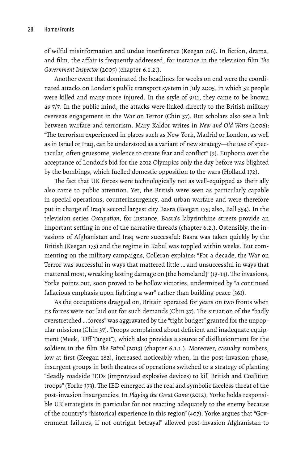of wilful misinformation and undue interference (Keegan 216). In fiction, drama, and film, the affair is frequently addressed, for instance in the television film *The Government Inspector* (2005) (chapter 6.1.2.).

Another event that dominated the headlines for weeks on end were the coordinated attacks on London's public transport system in July 2005, in which 52 people were killed and many more injured. In the style of 9/11, they came to be known as 7/7. In the public mind, the attacks were linked directly to the British military overseas engagement in the War on Terror (Chin 37). But scholars also see a link between warfare and terrorism. Mary Kaldor writes in *New and Old Wars* (2006): "The terrorism experienced in places such as New York, Madrid or London, as well as in Israel or Iraq, can be understood as a variant of new strategy—the use of spectacular, often gruesome, violence to create fear and conflict" (9). Euphoria over the acceptance of London's bid for the 2012 Olympics only the day before was blighted by the bombings, which fuelled domestic opposition to the wars (Holland 172).

The fact that UK forces were technologically not as well-equipped as their ally also came to public attention. Yet, the British were seen as particularly capable in special operations, counterinsurgency, and urban warfare and were therefore put in charge of Iraq's second largest city Basra (Keegan 175; also, Ball 554). In the television series *Occupation*, for instance, Basra's labyrinthine streets provide an important setting in one of the narrative threads (chapter 6.2.). Ostensibly, the invasions of Afghanistan and Iraq were successful: Basra was taken quickly by the British (Keegan 175) and the regime in Kabul was toppled within weeks. But commenting on the military campaigns, Colleran explains: "For a decade, the War on Terror was successful in ways that mattered little … and unsuccessful in ways that mattered most, wreaking lasting damage on [the homeland]" (13-14). The invasions, Yorke points out, soon proved to be hollow victories, undermined by "a continued fallacious emphasis upon fighting a war" rather than building peace (361).

As the occupations dragged on, Britain operated for years on two fronts when its forces were not laid out for such demands (Chin 37). The situation of the "badly overstretched … forces" was aggravated by the "tight budget" granted for the unpopular missions (Chin 37). Troops complained about deficient and inadequate equipment (Meek, "Off Target"), which also provides a source of disillusionment for the soldiers in the film *The Patrol* (2013) (chapter 6.1.1.). Moreover, casualty numbers, low at first (Keegan 182), increased noticeably when, in the post-invasion phase, insurgent groups in both theatres of operations switched to a strategy of planting "deadly roadside IEDs (improvised explosive devices) to kill British and Coalition troops" (Yorke 373). The IED emerged as the real and symbolic faceless threat of the post-invasion insurgencies. In *Playing the Great Game* (2012), Yorke holds responsible UK strategists in particular for not reacting adequately to the enemy because of the country's "historical experience in this region" (407). Yorke argues that "Government failures, if not outright betrayal" allowed post-invasion Afghanistan to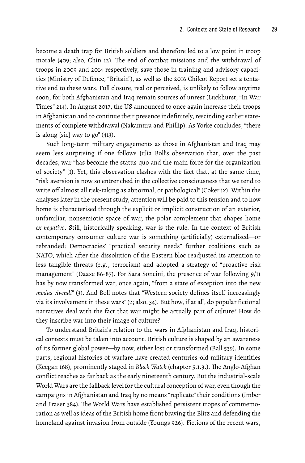become a death trap for British soldiers and therefore led to a low point in troop morale (409; also, Chin 12). The end of combat missions and the withdrawal of troops in 2009 and 2014 respectively, save those in training and advisory capacities (Ministry of Defence, "Britain"), as well as the 2016 Chilcot Report set a tentative end to these wars. Full closure, real or perceived, is unlikely to follow anytime soon, for both Afghanistan and Iraq remain sources of unrest (Luckhurst, "In War Times" 214). In August 2017, the US announced to once again increase their troops in Afghanistan and to continue their presence indefinitely, rescinding earlier statements of complete withdrawal (Nakamura and Phillip). As Yorke concludes, "there is along [sic] way to go" (413).

Such long-term military engagements as those in Afghanistan and Iraq may seem less surprising if one follows Julia Boll's observation that, over the past decades, war "has become the status quo and the main force for the organization of society" (1). Yet, this observation clashes with the fact that, at the same time, "risk aversion is now so entrenched in the collective consciousness that we tend to write off almost all risk-taking as abnormal, or pathological" (Coker ix). Within the analyses later in the present study, attention will be paid to this tension and to how home is characterised through the explicit or implicit construction of an exterior, unfamiliar, nonsemiotic space of war, the polar complement that shapes home *ex negativo*. Still, historically speaking, war is the rule. In the context of British contemporary consumer culture war is something (artificially) externalised—or rebranded: Democracies' "practical security needs" further coalitions such as NATO, which after the dissolution of the Eastern bloc readjusted its attention to less tangible threats (e.g., terrorism) and adopted a strategy of "proactive risk management" (Daase 86-87). For Sara Soncini, the presence of war following 9/11 has by now transformed war, once again, "from a state of exception into the new *modus vivendi*" (3). And Boll notes that "Western society defines itself increasingly via its involvement in these wars" (2; also, 34). But how, if at all, do popular fictional narratives deal with the fact that war might be actually part of culture? How do they inscribe war into their image of culture?

To understand Britain's relation to the wars in Afghanistan and Iraq, historical contexts must be taken into account. British culture is shaped by an awareness of its former global power—by now, either lost or transformed (Ball 539). In some parts, regional histories of warfare have created centuries-old military identities (Keegan 168), prominently staged in *Black Watch* (chapter 5.1.3.). The Anglo-Afghan conflict reaches as far back as the early nineteenth century. But the industrial-scale World Wars are the fallback level for the cultural conception of war, even though the campaigns in Afghanistan and Iraq by no means "replicate" their conditions (Imber and Fraser 384). The World Wars have established persistent tropes of commemoration as well as ideas of the British home front braving the Blitz and defending the homeland against invasion from outside (Youngs 926). Fictions of the recent wars,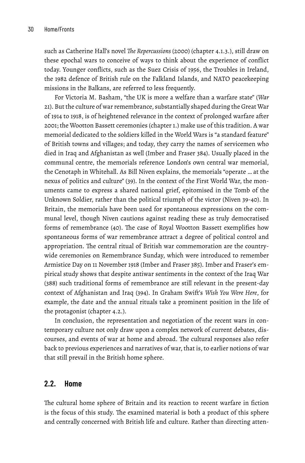such as Catherine Hall's novel *The Repercussions* (2000) (chapter 4.1.3.), still draw on these epochal wars to conceive of ways to think about the experience of conflict today. Younger conflicts, such as the Suez Crisis of 1956, the Troubles in Ireland, the 1982 defence of British rule on the Falkland Islands, and NATO peacekeeping missions in the Balkans, are referred to less frequently.

For Victoria M. Basham, "the UK is more a welfare than a warfare state" (*War* 21). But the culture of war remembrance, substantially shaped during the Great War of 1914 to 1918, is of heightened relevance in the context of prolonged warfare after 2001; the Wootton Bassett ceremonies (chapter 1.) make use of this tradition. A war memorial dedicated to the soldiers killed in the World Wars is "a standard feature" of British towns and villages; and today, they carry the names of servicemen who died in Iraq and Afghanistan as well (Imber and Fraser 384). Usually placed in the communal centre, the memorials reference London's own central war memorial, the Cenotaph in Whitehall. As Bill Niven explains, the memorials "operate … at the nexus of politics and culture" (39). In the context of the First World War, the monuments came to express a shared national grief, epitomised in the Tomb of the Unknown Soldier, rather than the political triumph of the victor (Niven 39-40). In Britain, the memorials have been used for spontaneous expressions on the communal level, though Niven cautions against reading these as truly democratised forms of remembrance (40). The case of Royal Wootton Bassett exemplifies how spontaneous forms of war remembrance attract a degree of political control and appropriation. The central ritual of British war commemoration are the countrywide ceremonies on Remembrance Sunday, which were introduced to remember Armistice Day on 11 November 1918 (Imber and Fraser 385). Imber and Fraser's empirical study shows that despite antiwar sentiments in the context of the Iraq War (388) such traditional forms of remembrance are still relevant in the present-day context of Afghanistan and Iraq (394). In Graham Swift's *Wish You Were Here*, for example, the date and the annual rituals take a prominent position in the life of the protagonist (chapter 4.2.).

In conclusion, the representation and negotiation of the recent wars in contemporary culture not only draw upon a complex network of current debates, discourses, and events of war at home and abroad. The cultural responses also refer back to previous experiences and narratives of war, that is, to earlier notions of war that still prevail in the British home sphere.

#### **2.2. Home**

The cultural home sphere of Britain and its reaction to recent warfare in fiction is the focus of this study. The examined material is both a product of this sphere and centrally concerned with British life and culture. Rather than directing atten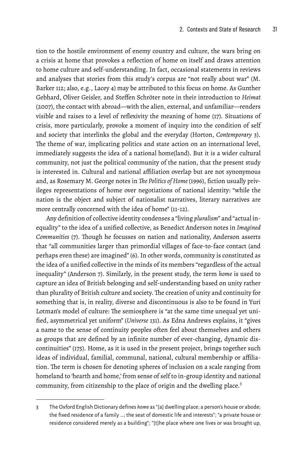tion to the hostile environment of enemy country and culture, the wars bring on a crisis at home that provokes a reflection of home on itself and draws attention to home culture and self-understanding. In fact, occasional statements in reviews and analyses that stories from this study's corpus are "not really about war" (M. Barker 112; also, e.g., Lacey 4) may be attributed to this focus on home. As Gunther Gebhard, Oliver Geisler, and Steffen Schröter note in their introduction to *Heimat* (2007), the contact with abroad—with the alien, external, and unfamiliar—renders visible and raises to a level of reflexivity the meaning of home (17). Situations of crisis, more particularly, provoke a moment of inquiry into the condition of self and society that interlinks the global and the everyday (Horton, *Contemporary* 3). The theme of war, implicating politics and state action on an international level, immediately suggests the idea of a national home(land). But it is a wider cultural community, not just the political community of the nation, that the present study is interested in. Cultural and national affiliation overlap but are not synonymous and, as Rosemary M. George notes in *The Politics of Home* (1996), fiction usually privileges representations of home over negotiations of national identity: "while the nation is the object and subject of nationalist narratives, literary narratives are more centrally concerned with the idea of home" (11-12).

Any definition of collective identity condenses a "living *pluralism*" and "actual inequality" to the idea of a unified collective, as Benedict Anderson notes in *Imagined Communities* (7). Though he focusses on nation and nationality, Anderson asserts that "all communities larger than primordial villages of face-to-face contact (and perhaps even these) are imagined" (6). In other words, community is constituted as the idea of a unified collective in the minds of its members "regardless of the actual inequality" (Anderson 7). Similarly, in the present study, the term *home* is used to capture an idea of British belonging and self-understanding based on unity rather than plurality of British culture and society.The creation of unity and continuity for something that is, in reality, diverse and discontinuous is also to be found in Yuri Lotman's model of culture: The semiosphere is "at the same time unequal yet unified, asymmetrical yet uniform" (*Universe* 131). As Edna Andrews explains, it "gives a name to the sense of continuity peoples often feel about themselves and others as groups that are defined by an infinite number of ever-changing, dynamic discontinuities" (175). Home, as it is used in the present project, brings together such ideas of individual, familial, communal, national, cultural membership or affiliation. The term is chosen for denoting spheres of inclusion on a scale ranging from homeland to 'hearth and home,' from sense of self to in-group identity and national community, from citizenship to the place of origin and the dwelling place.<sup>3</sup>

<sup>3</sup> The Oxford English Dictionary defines *home* as "[a] dwelling place; a person's house or abode; the fixed residence of a family …; the seat of domestic life and interests"; "a private house or residence considered merely as a building"; "[t]he place where one lives or was brought up,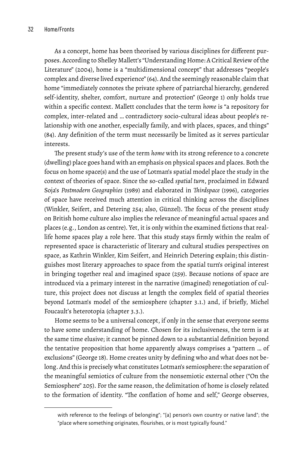As a concept, home has been theorised by various disciplines for different purposes. According to Shelley Mallett's "Understanding Home: A Critical Review of the Literature" (2004), home is a "multidimensional concept" that addresses "people's complex and diverse lived experience" (64). And the seemingly reasonable claim that home "immediately connotes the private sphere of patriarchal hierarchy, gendered self-identity, shelter, comfort, nurture and protection" (George 1) only holds true within a specific context. Mallett concludes that the term *home* is "a repository for complex, inter-related and … contradictory socio-cultural ideas about people's relationship with one another, especially family, and with places, spaces, and things" (84). Any definition of the term must necessarily be limited as it serves particular interests.

The present study's use of the term *home* with its strong reference to a concrete (dwelling) place goes hand with an emphasis on physical spaces and places. Both the focus on home space(s) and the use of Lotman's spatial model place the study in the context of theories of space. Since the so-called *spatial turn*, proclaimed in Edward Soja's *Postmodern Geographies* (1989) and elaborated in *Thirdspace* (1996), categories of space have received much attention in critical thinking across the disciplines (Winkler, Seifert, and Detering 254; also, Günzel). The focus of the present study on British home culture also implies the relevance of meaningful actual spaces and places (e.g., London as centre). Yet, it is only within the examined fictions that reallife home spaces play a role here. That this study stays firmly within the realm of represented space is characteristic of literary and cultural studies perspectives on space, as Kathrin Winkler, Kim Seifert, and Heinrich Detering explain; this distinguishes most literary approaches to space from the spatial turn's original interest in bringing together real and imagined space (259). Because notions of space are introduced via a primary interest in the narrative (imagined) renegotiation of culture, this project does not discuss at length the complex field of spatial theories beyond Lotman's model of the semiosphere (chapter 3.1.) and, if briefly, Michel Foucault's heterotopia (chapter 3.3.).

Home seems to be a universal concept, if only in the sense that everyone seems to have some understanding of home. Chosen for its inclusiveness, the term is at the same time elusive; it cannot be pinned down to a substantial definition beyond the tentative proposition that home apparently always comprises a "pattern … of exclusions" (George 18). Home creates unity by defining who and what does not belong. And this is precisely what constitutes Lotman's semiosphere: the separation of the meaningful semiotics of culture from the nonsemiotic external other ("On the Semiosphere" 205). For the same reason, the delimitation of home is closely related to the formation of identity. "The conflation of home and self," George observes,

with reference to the feelings of belonging"; "[a] person's own country or native land"; the "place where something originates, flourishes, or is most typically found."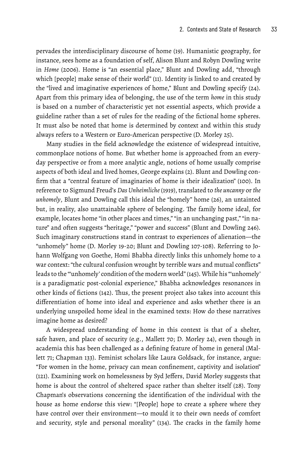pervades the interdisciplinary discourse of home (19). Humanistic geography, for instance, sees home as a foundation of self, Alison Blunt and Robyn Dowling write in *Home* (2006). Home is "an essential place," Blunt and Dowling add, "through which [people] make sense of their world" (11). Identity is linked to and created by the "lived and imaginative experiences of home," Blunt and Dowling specify (24). Apart from this primary idea of belonging, the use of the term *home* in this study is based on a number of characteristic yet not essential aspects, which provide a guideline rather than a set of rules for the reading of the fictional home spheres. It must also be noted that home is determined by context and within this study always refers to a Western or Euro-American perspective (D. Morley 25).

Many studies in the field acknowledge the existence of widespread intuitive, commonplace notions of home. But whether home is approached from an everyday perspective or from a more analytic angle, notions of home usually comprise aspects of both ideal and lived homes, George explains (2). Blunt and Dowling confirm that a "central feature of imaginaries of home is their idealization" (100). In reference to Sigmund Freud's *Das Unheimliche* (1919), translated to *the uncanny* or *the unhomely*, Blunt and Dowling call this ideal the "homely" home (26), an untainted but, in reality, also unattainable sphere of belonging. The family home ideal, for example, locates home "in other places and times," "in an unchanging past," "in nature" and often suggests "heritage," "power and success" (Blunt and Dowling 246). Such imaginary constructions stand in contrast to experiences of alienation—the "unhomely" home (D. Morley 19-20; Blunt and Dowling 107-108). Referring to Johann Wolfgang von Goethe, Homi Bhabha directly links this unhomely home to a war context: "the cultural confusion wrought by terrible wars and mutual conflicts" leads to the "'unhomely' condition of the modern world" (145). While his "'unhomely' is a paradigmatic post-colonial experience," Bhabha acknowledges resonances in other kinds of fictions (142). Thus, the present project also takes into account this differentiation of home into ideal and experience and asks whether there is an underlying unspoiled home ideal in the examined texts: How do these narratives imagine home as desired?

A widespread understanding of home in this context is that of a shelter, safe haven, and place of security (e.g., Mallett 70; D. Morley 24), even though in academia this has been challenged as a defining feature of home in general (Mallett 71; Chapman 133). Feminist scholars like Laura Goldsack, for instance, argue: "For women in the home, privacy can mean confinement, captivity and isolation" (121). Examining work on homelessness by Syd Jeffers, David Morley suggests that home is about the control of sheltered space rather than shelter itself (28). Tony Chapman's observations concerning the identification of the individual with the house as home endorse this view: "[People] hope to create a sphere where they have control over their environment—to mould it to their own needs of comfort and security, style and personal morality" (134). The cracks in the family home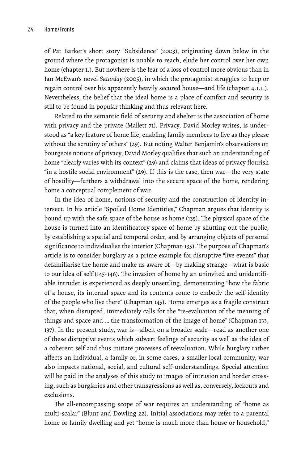of Pat Barker's short story "Subsidence" (2003), originating down below in the ground where the protagonist is unable to reach, elude her control over her own home (chapter 1.). But nowhere is the fear of a loss of control more obvious than in Ian McEwan's novel *Saturday* (2005), in which the protagonist struggles to keep or regain control over his apparently heavily secured house—and life (chapter 4.1.1.). Nevertheless, the belief that the ideal home is a place of comfort and security is still to be found in popular thinking and thus relevant here.

Related to the semantic field of security and shelter is the association of home with privacy and the private (Mallett 71). Privacy, David Morley writes, is understood as "a key feature of home life, enabling family members to live as they please without the scrutiny of others" (29). But noting Walter Benjamin's observations on bourgeois notions of privacy, David Morley qualifies that such an understanding of home "clearly varies with its context" (29) and claims that ideas of privacy flourish "in a hostile social environment" (29). If this is the case, then war—the very state of hostility—furthers a withdrawal into the secure space of the home, rendering home a conceptual complement of war.

In the idea of home, notions of security and the construction of identity intersect. In his article "Spoiled Home Identities," Chapman argues that identity is bound up with the safe space of the house as home (135). The physical space of the house is turned into an identificatory space of home by shutting out the public, by establishing a spatial and temporal order, and by arranging objects of personal significance to individualise the interior (Chapman 135). The purpose of Chapman's article is to consider burglary as a prime example for disruptive "live events" that defamiliarise the home and make us aware of—by making strange—what is basic to our idea of self (145-146). The invasion of home by an uninvited and unidentifiable intruder is experienced as deeply unsettling, demonstrating "how the fabric of a house, its internal space and its contents come to embody the self-identity of the people who live there" (Chapman 145). Home emerges as a fragile construct that, when disrupted, immediately calls for the "re-evaluation of the meaning of things and space and … the transformation of the image of home" (Chapman 133, 137). In the present study, war is—albeit on a broader scale—read as another one of these disruptive events which subvert feelings of security as well as the idea of a coherent self and thus initiate processes of reevaluation. While burglary rather affects an individual, a family or, in some cases, a smaller local community, war also impacts national, social, and cultural self-understandings. Special attention will be paid in the analyses of this study to images of intrusion and border crossing, such as burglaries and other transgressions as well as, conversely, lockouts and exclusions.

The all-encompassing scope of war requires an understanding of "home as multi-scalar" (Blunt and Dowling 22). Initial associations may refer to a parental home or family dwelling and yet "home is much more than house or household,"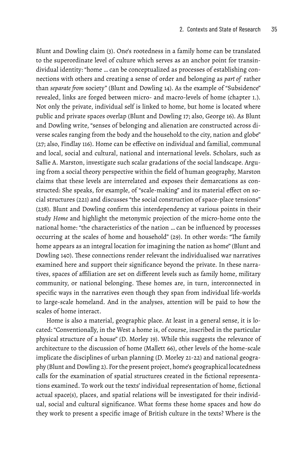Blunt and Dowling claim (3). One's rootedness in a family home can be translated to the superordinate level of culture which serves as an anchor point for transindividual identity: "home … can be conceptualized as processes of establishing connections with others and creating a sense of order and belonging as *part of* rather than *separate from* society" (Blunt and Dowling 14). As the example of "Subsidence" revealed, links are forged between micro- and macro-levels of home (chapter 1.). Not only the private, individual self is linked to home, but home is located where public and private spaces overlap (Blunt and Dowling 17; also, George 16). As Blunt and Dowling write, "senses of belonging and alienation are constructed across diverse scales ranging from the body and the household to the city, nation and globe" (27; also, Findlay 116). Home can be effective on individual and familial, communal and local, social and cultural, national and international levels. Scholars, such as Sallie A. Marston, investigate such scalar gradations of the social landscape. Arguing from a social theory perspective within the field of human geography, Marston claims that these levels are interrelated and exposes their demarcations as constructed: She speaks, for example, of "scale-making" and its material effect on social structures (221) and discusses "the social construction of space-place tensions" (238). Blunt and Dowling confirm this interdependency at various points in their study *Home* and highlight the metonymic projection of the micro-home onto the national home: "the characteristics of the nation … can be influenced by processes occurring at the scales of home and household" (29). In other words: "The family home appears as an integral location for imagining the nation as home" (Blunt and Dowling 140). These connections render relevant the individualised war narratives examined here and support their significance beyond the private. In these narratives, spaces of affiliation are set on different levels such as family home, military community, or national belonging. These homes are, in turn, interconnected in specific ways in the narratives even though they span from individual life-worlds to large-scale homeland. And in the analyses, attention will be paid to how the scales of home interact.

Home is also a material, geographic place. At least in a general sense, it is located: "Conventionally, in the West a home is, of course, inscribed in the particular physical structure of a house" (D. Morley 19). While this suggests the relevance of architecture to the discussion of home (Mallett 66), other levels of the home-scale implicate the disciplines of urban planning (D. Morley 21-22) and national geography (Blunt and Dowling 2). For the present project, home's geographical locatedness calls for the examination of spatial structures created in the fictional representations examined. To work out the texts' individual representation of home, fictional actual space(s), places, and spatial relations will be investigated for their individual, social and cultural significance. What forms these home spaces and how do they work to present a specific image of British culture in the texts? Where is the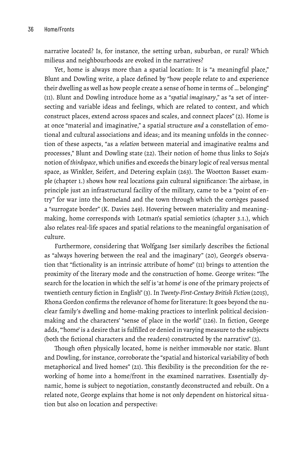narrative located? Is, for instance, the setting urban, suburban, or rural? Which milieus and neighbourhoods are evoked in the narratives?

Yet, home is always more than a spatial location: It is "a meaningful place," Blunt and Dowling write, a place defined by "how people relate to and experience their dwelling as well as how people create a sense of home in terms of … belonging" (11). Blunt and Dowling introduce home as a "*spatial imaginary*," as "a set of intersecting and variable ideas and feelings, which are related to context, and which construct places, extend across spaces and scales, and connect places" (2). Home is at once "material and imaginative," a spatial structure *and* a constellation of emotional and cultural associations and ideas; and its meaning unfolds in the connection of these aspects, "as a *relation* between material and imaginative realms and processes," Blunt and Dowling state (22). Their notion of home thus links to Soja's notion of *thirdspace*, which unifies and exceeds the binary logic of real versus mental space, as Winkler, Seifert, and Detering explain (263). The Wootton Basset example (chapter 1.) shows how real locations gain cultural significance: The airbase, in principle just an infrastructural facility of the military, came to be a "point of entry" for war into the homeland and the town through which the cortèges passed a "surrogate border" (K. Davies 249). Hovering between materiality and meaningmaking, home corresponds with Lotman's spatial semiotics (chapter 3.1.), which also relates real-life spaces and spatial relations to the meaningful organisation of culture.

Furthermore, considering that Wolfgang Iser similarly describes the fictional as "always hovering between the real and the imaginary" (20), George's observation that "fictionality is an intrinsic attribute of home" (11) brings to attention the proximity of the literary mode and the construction of home. George writes: "The search for the location in which the self is 'at home' is one of the primary projects of twentieth century fiction in English" (3). In *Twenty-First-Century British Fiction* (2015), Rhona Gordon confirms the relevance of home for literature: It goes beyond the nuclear family's dwelling and home-making practices to interlink political decisionmaking and the characters' "sense of place in the world" (126). In fiction, George adds, "'home' is a desire that is fulfilled or denied in varying measure to the subjects (both the fictional characters and the readers) constructed by the narrative" (2).

Though often physically located, home is neither immovable nor static. Blunt and Dowling, for instance, corroborate the "spatial and historical variability of both metaphorical and lived homes" (21). This flexibility is the precondition for the reworking of home into a home/front in the examined narratives. Essentially dynamic, home is subject to negotiation, constantly deconstructed and rebuilt. On a related note, George explains that home is not only dependent on historical situation but also on location and perspective: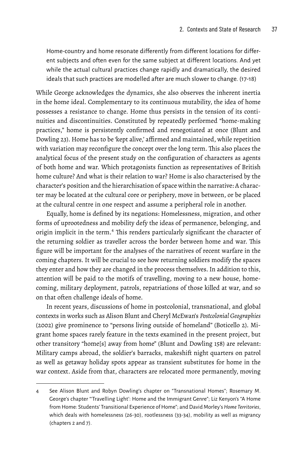Home-country and home resonate differently from different locations for different subjects and often even for the same subject at different locations. And yet while the actual cultural practices change rapidly and dramatically, the desired ideals that such practices are modelled after are much slower to change. (17-18)

While George acknowledges the dynamics, she also observes the inherent inertia in the home ideal. Complementary to its continuous mutability, the idea of home possesses a resistance to change. Home thus persists in the tension of its continuities and discontinuities. Constituted by repeatedly performed "home-making practices," home is persistently confirmed and renegotiated at once (Blunt and Dowling 23). Home has to be 'kept alive,' affirmed and maintained, while repetition with variation may reconfigure the concept over the long term. This also places the analytical focus of the present study on the configuration of characters as agents of both home and war. Which protagonists function as representatives of British home culture? And what is their relation to war? Home is also characterised by the character's position and the hierarchisation of space within the narrative: A character may be located at the cultural core or periphery, move in between, or be placed at the cultural centre in one respect and assume a peripheral role in another.

Equally, home is defined by its negations: Homelessness, migration, and other forms of uprootedness and mobility defy the ideas of permanence, belonging, and origin implicit in the term.<sup>4</sup> This renders particularly significant the character of the returning soldier as traveller across the border between home and war. This figure will be important for the analyses of the narratives of recent warfare in the coming chapters. It will be crucial to see how returning soldiers modify the spaces they enter and how they are changed in the process themselves. In addition to this, attention will be paid to the motifs of travelling, moving to a new house, homecoming, military deployment, patrols, repatriations of those killed at war, and so on that often challenge ideals of home.

In recent years, discussions of home in postcolonial, transnational, and global contexts in works such as Alison Blunt and Cheryl McEwan's *Postcolonial Geographies* (2002) give prominence to "persons living outside of homeland" (Boticello 2). Migrant home spaces rarely feature in the texts examined in the present project, but other transitory "home[s] away from home" (Blunt and Dowling 158) are relevant: Military camps abroad, the soldier's barracks, makeshift night quarters on patrol as well as getaway holiday spots appear as transient substitutes for home in the war context. Aside from that, characters are relocated more permanently, moving

<sup>4</sup> See Alison Blunt and Robyn Dowling's chapter on "Transnational Homes"; Rosemary M. George's chapter "'Travelling Light': Home and the Immigrant Genre"; Liz Kenyon's "A Home from Home: Students' Transitional Experience of Home"; and David Morley's *Home Territories*, which deals with homelessness (26-30), rootlessness (33-34), mobility as well as migrancy (chapters 2 and 7).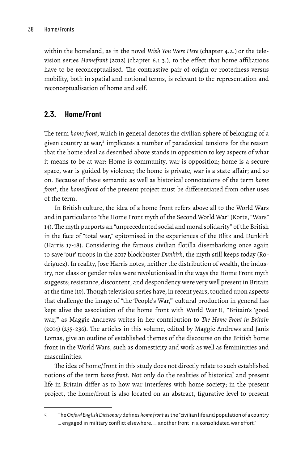within the homeland, as in the novel *Wish You Were Here* (chapter 4.2.) or the television series *Homefront* (2012) (chapter 6.1.3.), to the effect that home affiliations have to be reconceptualised. The contrastive pair of origin or rootedness versus mobility, both in spatial and notional terms, is relevant to the representation and reconceptualisation of home and self.

#### **2.3. Home/Front**

The term *home front*, which in general denotes the civilian sphere of belonging of a given country at war,<sup>5</sup> implicates a number of paradoxical tensions for the reason that the home ideal as described above stands in opposition to key aspects of what it means to be at war: Home is community, war is opposition; home is a secure space, war is guided by violence; the home is private, war is a state affair; and so on. Because of these semantic as well as historical connotations of the term *home front*, the *home/front* of the present project must be differentiated from other uses of the term.

In British culture, the idea of a home front refers above all to the World Wars and in particular to "the Home Front myth of the Second World War" (Korte, "Wars" 14).The myth purports an "unprecedented social and moral solidarity" of the British in the face of "total war," epitomised in the experiences of the Blitz and Dunkirk (Harris 17-18). Considering the famous civilian flotilla disembarking once again to save 'our' troops in the 2017 blockbuster *Dunkirk*, the myth still keeps today (Rodriguez). In reality, Jose Harris notes, neither the distribution of wealth, the industry, nor class or gender roles were revolutionised in the ways the Home Front myth suggests; resistance, discontent, and despondency were very well present in Britain at the time (19). Though television series have, in recent years, touched upon aspects that challenge the image of "the 'People's War,'" cultural production in general has kept alive the association of the home front with World War II, "Britain's 'good war,'" as Maggie Andrews writes in her contribution to *The Home Front in Britain* (2014) (235-236). The articles in this volume, edited by Maggie Andrews and Janis Lomas, give an outline of established themes of the discourse on the British home front in the World Wars, such as domesticity and work as well as femininities and masculinities.

The idea of home/front in this study does not directly relate to such established notions of the term *home front*. Not only do the realities of historical and present life in Britain differ as to how war interferes with home society; in the present project, the home/front is also located on an abstract, figurative level to present

<sup>5</sup> The*Oxford English Dictionary* defines *homefront* as the"civilian life and population of a country … engaged in military conflict elsewhere, … another front in a consolidated war effort."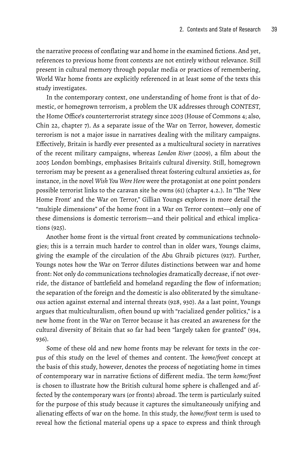the narrative process of conflating war and home in the examined fictions. And yet, references to previous home front contexts are not entirely without relevance. Still present in cultural memory through popular media or practices of remembering, World War home fronts are explicitly referenced in at least some of the texts this study investigates.

In the contemporary context, one understanding of home front is that of domestic, or homegrown terrorism, a problem the UK addresses through CONTEST, the Home Office's counterterrorist strategy since 2003 (House of Commons 4; also, Chin 22, chapter 7). As a separate issue of the War on Terror, however, domestic terrorism is not a major issue in narratives dealing with the military campaigns. Effectively, Britain is hardly ever presented as a multicultural society in narratives of the recent military campaigns, whereas *London River* (2009), a film about the 2005 London bombings, emphasises Britain's cultural diversity. Still, homegrown terrorism may be present as a generalised threat fostering cultural anxieties as, for instance, in the novel *Wish You Were Here* were the protagonist at one point ponders possible terrorist links to the caravan site he owns (61) (chapter 4.2.). In "The 'New Home Front' and the War on Terror," Gillian Youngs explores in more detail the "multiple dimensions" of the home front in a War on Terror context—only one of these dimensions is domestic terrorism—and their political and ethical implications (925).

Another home front is the virtual front created by communications technologies; this is a terrain much harder to control than in older wars, Youngs claims, giving the example of the circulation of the Abu Ghraib pictures (927). Further, Youngs notes how the War on Terror dilutes distinctions between war and home front: Not only do communications technologies dramatically decrease, if not override, the distance of battlefield and homeland regarding the flow of information; the separation of the foreign and the domestic is also obliterated by the simultaneous action against external and internal threats (928, 930). As a last point, Youngs argues that multiculturalism, often bound up with "racialized gender politics," is a new home front in the War on Terror because it has created an awareness for the cultural diversity of Britain that so far had been "largely taken for granted" (934, 936).

Some of these old and new home fronts may be relevant for texts in the corpus of this study on the level of themes and content. The *home/front* concept at the basis of this study, however, denotes the process of negotiating home in times of contemporary war in narrative fictions of different media. The term *home/front* is chosen to illustrate how the British cultural home sphere is challenged and affected by the contemporary wars (or fronts) abroad. The term is particularly suited for the purpose of this study because it captures the simultaneously unifying and alienating effects of war on the home. In this study, the *home/front* term is used to reveal how the fictional material opens up a space to express and think through